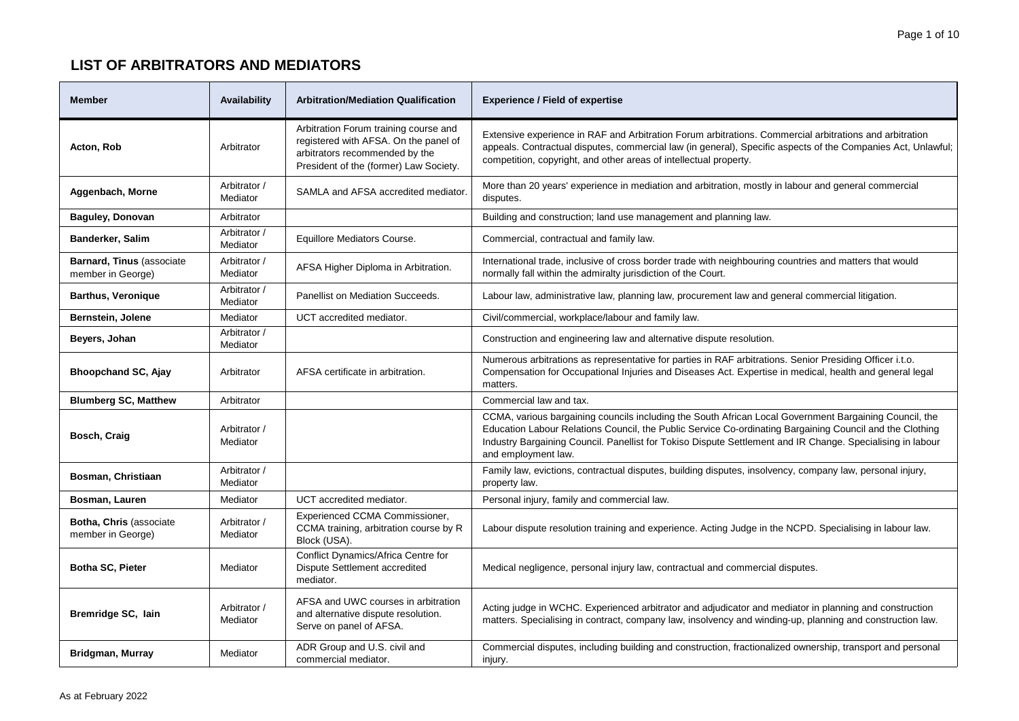| <b>Member</b>                                          | Availability             | <b>Arbitration/Mediation Qualification</b>                                                                                                                 | <b>Experience / Field of expertise</b>                                                                                                                                                                                                                                                                                                                  |
|--------------------------------------------------------|--------------------------|------------------------------------------------------------------------------------------------------------------------------------------------------------|---------------------------------------------------------------------------------------------------------------------------------------------------------------------------------------------------------------------------------------------------------------------------------------------------------------------------------------------------------|
| Acton, Rob                                             | Arbitrator               | Arbitration Forum training course and<br>registered with AFSA. On the panel of<br>arbitrators recommended by the<br>President of the (former) Law Society. | Extensive experience in RAF and Arbitration Forum arbitrations. Commercial arbitrations and arbitration<br>appeals. Contractual disputes, commercial law (in general), Specific aspects of the Companies Act, Unlawful;<br>competition, copyright, and other areas of intellectual property.                                                            |
| Aggenbach, Morne                                       | Arbitrator /<br>Mediator | SAMLA and AFSA accredited mediator.                                                                                                                        | More than 20 years' experience in mediation and arbitration, mostly in labour and general commercial<br>disputes.                                                                                                                                                                                                                                       |
| <b>Baguley, Donovan</b>                                | Arbitrator               |                                                                                                                                                            | Building and construction; land use management and planning law.                                                                                                                                                                                                                                                                                        |
| Banderker, Salim                                       | Arbitrator /<br>Mediator | Equillore Mediators Course.                                                                                                                                | Commercial, contractual and family law.                                                                                                                                                                                                                                                                                                                 |
| <b>Barnard, Tinus (associate)</b><br>member in George) | Arbitrator /<br>Mediator | AFSA Higher Diploma in Arbitration.                                                                                                                        | International trade, inclusive of cross border trade with neighbouring countries and matters that would<br>normally fall within the admiralty jurisdiction of the Court.                                                                                                                                                                                |
| <b>Barthus, Veronique</b>                              | Arbitrator /<br>Mediator | Panellist on Mediation Succeeds.                                                                                                                           | Labour law, administrative law, planning law, procurement law and general commercial litigation.                                                                                                                                                                                                                                                        |
| Bernstein, Jolene                                      | Mediator                 | UCT accredited mediator.                                                                                                                                   | Civil/commercial, workplace/labour and family law.                                                                                                                                                                                                                                                                                                      |
| Beyers, Johan                                          | Arbitrator /<br>Mediator |                                                                                                                                                            | Construction and engineering law and alternative dispute resolution.                                                                                                                                                                                                                                                                                    |
| <b>Bhoopchand SC, Ajay</b>                             | Arbitrator               | AFSA certificate in arbitration.                                                                                                                           | Numerous arbitrations as representative for parties in RAF arbitrations. Senior Presiding Officer i.t.o.<br>Compensation for Occupational Injuries and Diseases Act. Expertise in medical, health and general legal<br>matters.                                                                                                                         |
| <b>Blumberg SC, Matthew</b>                            | Arbitrator               |                                                                                                                                                            | Commercial law and tax.                                                                                                                                                                                                                                                                                                                                 |
| Bosch, Craig                                           | Arbitrator /<br>Mediator |                                                                                                                                                            | CCMA, various bargaining councils including the South African Local Government Bargaining Council, the<br>Education Labour Relations Council, the Public Service Co-ordinating Bargaining Council and the Clothing<br>Industry Bargaining Council. Panellist for Tokiso Dispute Settlement and IR Change. Specialising in labour<br>and employment law. |
| Bosman, Christiaan                                     | Arbitrator /<br>Mediator |                                                                                                                                                            | Family law, evictions, contractual disputes, building disputes, insolvency, company law, personal injury,<br>property law.                                                                                                                                                                                                                              |
| Bosman, Lauren                                         | Mediator                 | UCT accredited mediator.                                                                                                                                   | Personal injury, family and commercial law.                                                                                                                                                                                                                                                                                                             |
| Botha, Chris (associate<br>member in George)           | Arbitrator /<br>Mediator | Experienced CCMA Commissioner,<br>CCMA training, arbitration course by R<br>Block (USA).                                                                   | Labour dispute resolution training and experience. Acting Judge in the NCPD. Specialising in labour law.                                                                                                                                                                                                                                                |
| Botha SC, Pieter                                       | Mediator                 | Conflict Dynamics/Africa Centre for<br>Dispute Settlement accredited<br>mediator.                                                                          | Medical negligence, personal injury law, contractual and commercial disputes.                                                                                                                                                                                                                                                                           |
| Bremridge SC, lain                                     | Arbitrator /<br>Mediator | AFSA and UWC courses in arbitration<br>and alternative dispute resolution.<br>Serve on panel of AFSA.                                                      | Acting judge in WCHC. Experienced arbitrator and adjudicator and mediator in planning and construction<br>matters. Specialising in contract, company law, insolvency and winding-up, planning and construction law.                                                                                                                                     |
| Bridgman, Murray                                       | Mediator                 | ADR Group and U.S. civil and<br>commercial mediator.                                                                                                       | Commercial disputes, including building and construction, fractionalized ownership, transport and personal<br>injury.                                                                                                                                                                                                                                   |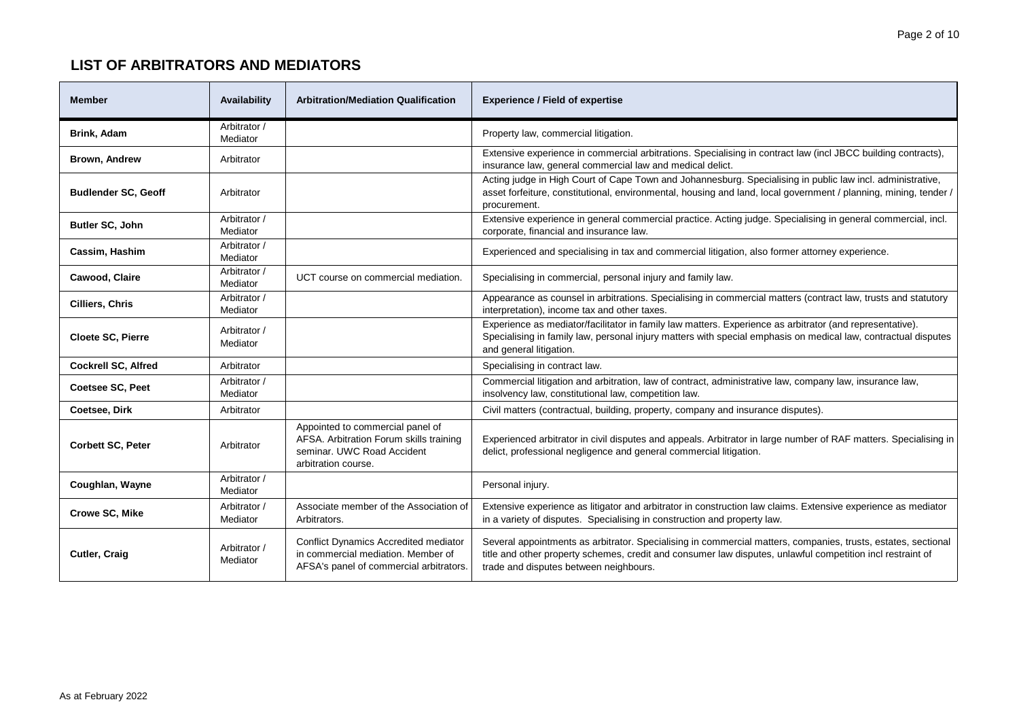| <b>Member</b>              | Availability             | <b>Arbitration/Mediation Qualification</b>                                                                                       | <b>Experience / Field of expertise</b>                                                                                                                                                                                                                                |
|----------------------------|--------------------------|----------------------------------------------------------------------------------------------------------------------------------|-----------------------------------------------------------------------------------------------------------------------------------------------------------------------------------------------------------------------------------------------------------------------|
| Brink, Adam                | Arbitrator /<br>Mediator |                                                                                                                                  | Property law, commercial litigation.                                                                                                                                                                                                                                  |
| Brown, Andrew              | Arbitrator               |                                                                                                                                  | Extensive experience in commercial arbitrations. Specialising in contract law (incl JBCC building contracts),<br>insurance law, general commercial law and medical delict.                                                                                            |
| <b>Budlender SC, Geoff</b> | Arbitrator               |                                                                                                                                  | Acting judge in High Court of Cape Town and Johannesburg. Specialising in public law incl. administrative,<br>asset forfeiture, constitutional, environmental, housing and land, local government / planning, mining, tender /<br>procurement.                        |
| Butler SC, John            | Arbitrator /<br>Mediator |                                                                                                                                  | Extensive experience in general commercial practice. Acting judge. Specialising in general commercial, incl.<br>corporate, financial and insurance law.                                                                                                               |
| Cassim, Hashim             | Arbitrator /<br>Mediator |                                                                                                                                  | Experienced and specialising in tax and commercial litigation, also former attorney experience.                                                                                                                                                                       |
| Cawood, Claire             | Arbitrator /<br>Mediator | UCT course on commercial mediation.                                                                                              | Specialising in commercial, personal injury and family law.                                                                                                                                                                                                           |
| Cilliers, Chris            | Arbitrator /<br>Mediator |                                                                                                                                  | Appearance as counsel in arbitrations. Specialising in commercial matters (contract law, trusts and statutory<br>interpretation), income tax and other taxes.                                                                                                         |
| <b>Cloete SC, Pierre</b>   | Arbitrator /<br>Mediator |                                                                                                                                  | Experience as mediator/facilitator in family law matters. Experience as arbitrator (and representative).<br>Specialising in family law, personal injury matters with special emphasis on medical law, contractual disputes<br>and general litigation.                 |
| <b>Cockrell SC, Alfred</b> | Arbitrator               |                                                                                                                                  | Specialising in contract law.                                                                                                                                                                                                                                         |
| <b>Coetsee SC. Peet</b>    | Arbitrator /<br>Mediator |                                                                                                                                  | Commercial litigation and arbitration, law of contract, administrative law, company law, insurance law,<br>insolvency law, constitutional law, competition law.                                                                                                       |
| Coetsee, Dirk              | Arbitrator               |                                                                                                                                  | Civil matters (contractual, building, property, company and insurance disputes).                                                                                                                                                                                      |
| <b>Corbett SC, Peter</b>   | Arbitrator               | Appointed to commercial panel of<br>AFSA. Arbitration Forum skills training<br>seminar, UWC Road Accident<br>arbitration course. | Experienced arbitrator in civil disputes and appeals. Arbitrator in large number of RAF matters. Specialising in<br>delict, professional negligence and general commercial litigation.                                                                                |
| Coughlan, Wayne            | Arbitrator /<br>Mediator |                                                                                                                                  | Personal injury.                                                                                                                                                                                                                                                      |
| <b>Crowe SC, Mike</b>      | Arbitrator /<br>Mediator | Associate member of the Association of<br>Arbitrators.                                                                           | Extensive experience as litigator and arbitrator in construction law claims. Extensive experience as mediator<br>in a variety of disputes. Specialising in construction and property law.                                                                             |
| <b>Cutler, Craig</b>       | Arbitrator /<br>Mediator | <b>Conflict Dynamics Accredited mediator</b><br>in commercial mediation. Member of<br>AFSA's panel of commercial arbitrators.    | Several appointments as arbitrator. Specialising in commercial matters, companies, trusts, estates, sectional<br>title and other property schemes, credit and consumer law disputes, unlawful competition incl restraint of<br>trade and disputes between neighbours. |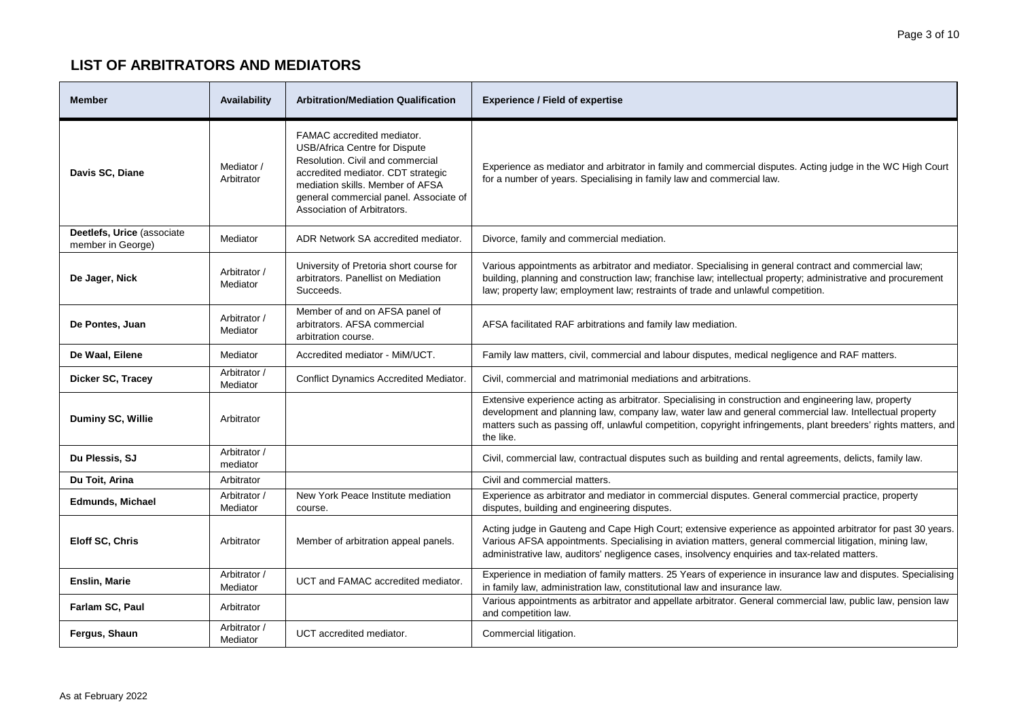| <b>Member</b>                                   | Availability             | <b>Arbitration/Mediation Qualification</b>                                                                                                                                                                                                                | <b>Experience / Field of expertise</b>                                                                                                                                                                                                                                                                                                          |
|-------------------------------------------------|--------------------------|-----------------------------------------------------------------------------------------------------------------------------------------------------------------------------------------------------------------------------------------------------------|-------------------------------------------------------------------------------------------------------------------------------------------------------------------------------------------------------------------------------------------------------------------------------------------------------------------------------------------------|
| Davis SC, Diane                                 | Mediator /<br>Arbitrator | FAMAC accredited mediator.<br><b>USB/Africa Centre for Dispute</b><br>Resolution, Civil and commercial<br>accredited mediator. CDT strategic<br>mediation skills. Member of AFSA<br>general commercial panel. Associate of<br>Association of Arbitrators. | Experience as mediator and arbitrator in family and commercial disputes. Acting judge in the WC High Court<br>for a number of years. Specialising in family law and commercial law.                                                                                                                                                             |
| Deetlefs, Urice (associate<br>member in George) | Mediator                 | ADR Network SA accredited mediator.                                                                                                                                                                                                                       | Divorce, family and commercial mediation.                                                                                                                                                                                                                                                                                                       |
| De Jager, Nick                                  | Arbitrator /<br>Mediator | University of Pretoria short course for<br>arbitrators. Panellist on Mediation<br>Succeeds.                                                                                                                                                               | Various appointments as arbitrator and mediator. Specialising in general contract and commercial law;<br>building, planning and construction law; franchise law; intellectual property; administrative and procurement<br>law; property law; employment law; restraints of trade and unlawful competition.                                      |
| De Pontes, Juan                                 | Arbitrator /<br>Mediator | Member of and on AFSA panel of<br>arbitrators. AFSA commercial<br>arbitration course.                                                                                                                                                                     | AFSA facilitated RAF arbitrations and family law mediation.                                                                                                                                                                                                                                                                                     |
| De Waal, Eilene                                 | Mediator                 | Accredited mediator - MiM/UCT.                                                                                                                                                                                                                            | Family law matters, civil, commercial and labour disputes, medical negligence and RAF matters.                                                                                                                                                                                                                                                  |
| Dicker SC, Tracey                               | Arbitrator /<br>Mediator | Conflict Dynamics Accredited Mediator.                                                                                                                                                                                                                    | Civil, commercial and matrimonial mediations and arbitrations.                                                                                                                                                                                                                                                                                  |
| Duminy SC, Willie                               | Arbitrator               |                                                                                                                                                                                                                                                           | Extensive experience acting as arbitrator. Specialising in construction and engineering law, property<br>development and planning law, company law, water law and general commercial law. Intellectual property<br>matters such as passing off, unlawful competition, copyright infringements, plant breeders' rights matters, and<br>the like. |
| Du Plessis, SJ                                  | Arbitrator /<br>mediator |                                                                                                                                                                                                                                                           | Civil, commercial law, contractual disputes such as building and rental agreements, delicts, family law.                                                                                                                                                                                                                                        |
| Du Toit, Arina                                  | Arbitrator               |                                                                                                                                                                                                                                                           | Civil and commercial matters.                                                                                                                                                                                                                                                                                                                   |
| <b>Edmunds, Michael</b>                         | Arbitrator /<br>Mediator | New York Peace Institute mediation<br>course.                                                                                                                                                                                                             | Experience as arbitrator and mediator in commercial disputes. General commercial practice, property<br>disputes, building and engineering disputes.                                                                                                                                                                                             |
| Eloff SC, Chris                                 | Arbitrator               | Member of arbitration appeal panels.                                                                                                                                                                                                                      | Acting judge in Gauteng and Cape High Court; extensive experience as appointed arbitrator for past 30 years.<br>Various AFSA appointments. Specialising in aviation matters, general commercial litigation, mining law,<br>administrative law, auditors' negligence cases, insolvency enquiries and tax-related matters.                        |
| Enslin, Marie                                   | Arbitrator /<br>Mediator | UCT and FAMAC accredited mediator.                                                                                                                                                                                                                        | Experience in mediation of family matters. 25 Years of experience in insurance law and disputes. Specialising<br>in family law, administration law, constitutional law and insurance law.                                                                                                                                                       |
| Farlam SC, Paul                                 | Arbitrator               |                                                                                                                                                                                                                                                           | Various appointments as arbitrator and appellate arbitrator. General commercial law, public law, pension law<br>and competition law.                                                                                                                                                                                                            |
| Fergus, Shaun                                   | Arbitrator /<br>Mediator | UCT accredited mediator.                                                                                                                                                                                                                                  | Commercial litigation.                                                                                                                                                                                                                                                                                                                          |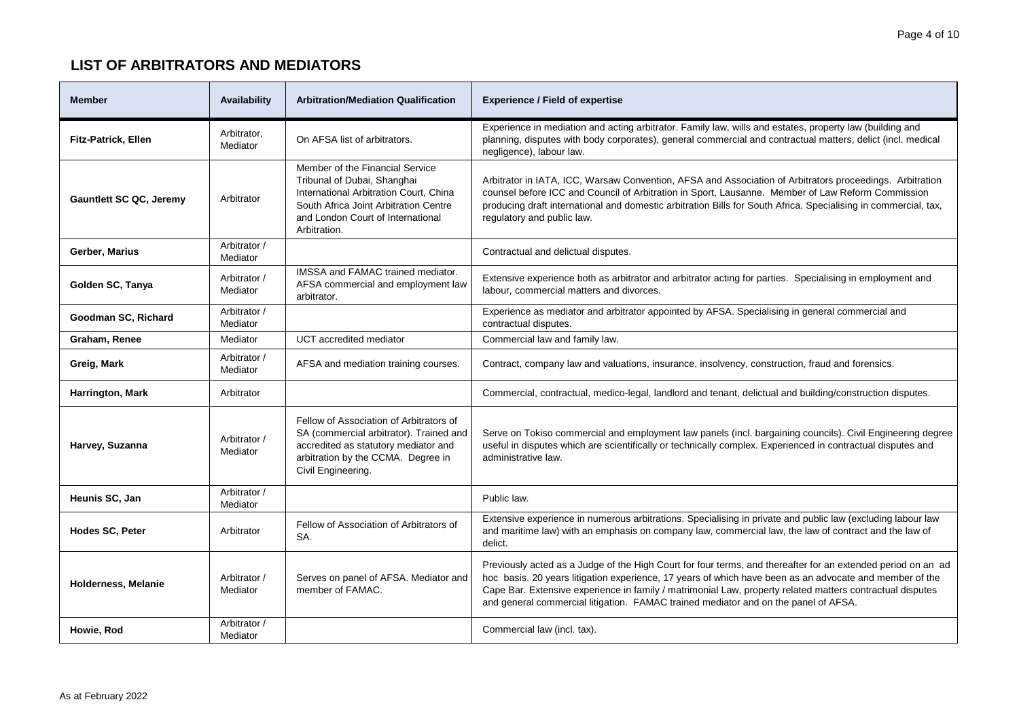| <b>Member</b>                  | Availability             | <b>Arbitration/Mediation Qualification</b>                                                                                                                                                             | <b>Experience / Field of expertise</b>                                                                                                                                                                                                                                                                                                                                                                                      |
|--------------------------------|--------------------------|--------------------------------------------------------------------------------------------------------------------------------------------------------------------------------------------------------|-----------------------------------------------------------------------------------------------------------------------------------------------------------------------------------------------------------------------------------------------------------------------------------------------------------------------------------------------------------------------------------------------------------------------------|
| <b>Fitz-Patrick, Ellen</b>     | Arbitrator,<br>Mediator  | On AFSA list of arbitrators.                                                                                                                                                                           | Experience in mediation and acting arbitrator. Family law, wills and estates, property law (building and<br>planning, disputes with body corporates), general commercial and contractual matters, delict (incl. medical<br>negligence), labour law.                                                                                                                                                                         |
| <b>Gauntlett SC QC, Jeremy</b> | Arbitrator               | Member of the Financial Service<br>Tribunal of Dubai, Shanghai<br>International Arbitration Court, China<br>South Africa Joint Arbitration Centre<br>and London Court of International<br>Arbitration. | Arbitrator in IATA, ICC, Warsaw Convention, AFSA and Association of Arbitrators proceedings. Arbitration<br>counsel before ICC and Council of Arbitration in Sport, Lausanne. Member of Law Reform Commission<br>producing draft international and domestic arbitration Bills for South Africa. Specialising in commercial, tax,<br>regulatory and public law.                                                              |
| Gerber, Marius                 | Arbitrator /<br>Mediator |                                                                                                                                                                                                        | Contractual and delictual disputes.                                                                                                                                                                                                                                                                                                                                                                                         |
| Golden SC, Tanya               | Arbitrator /<br>Mediator | IMSSA and FAMAC trained mediator.<br>AFSA commercial and employment law<br>arbitrator.                                                                                                                 | Extensive experience both as arbitrator and arbitrator acting for parties. Specialising in employment and<br>labour, commercial matters and divorces.                                                                                                                                                                                                                                                                       |
| Goodman SC, Richard            | Arbitrator /<br>Mediator |                                                                                                                                                                                                        | Experience as mediator and arbitrator appointed by AFSA. Specialising in general commercial and<br>contractual disputes.                                                                                                                                                                                                                                                                                                    |
| Graham, Renee                  | Mediator                 | UCT accredited mediator                                                                                                                                                                                | Commercial law and family law.                                                                                                                                                                                                                                                                                                                                                                                              |
| Greig, Mark                    | Arbitrator /<br>Mediator | AFSA and mediation training courses.                                                                                                                                                                   | Contract, company law and valuations, insurance, insolvency, construction, fraud and forensics.                                                                                                                                                                                                                                                                                                                             |
| Harrington, Mark               | Arbitrator               |                                                                                                                                                                                                        | Commercial, contractual, medico-legal, landlord and tenant, delictual and building/construction disputes.                                                                                                                                                                                                                                                                                                                   |
| Harvey, Suzanna                | Arbitrator /<br>Mediator | Fellow of Association of Arbitrators of<br>SA (commercial arbitrator). Trained and<br>accredited as statutory mediator and<br>arbitration by the CCMA. Degree in<br>Civil Engineering.                 | Serve on Tokiso commercial and employment law panels (incl. bargaining councils). Civil Engineering degree<br>useful in disputes which are scientifically or technically complex. Experienced in contractual disputes and<br>administrative law.                                                                                                                                                                            |
| Heunis SC, Jan                 | Arbitrator /<br>Mediator |                                                                                                                                                                                                        | Public law.                                                                                                                                                                                                                                                                                                                                                                                                                 |
| Hodes SC, Peter                | Arbitrator               | Fellow of Association of Arbitrators of<br>SA.                                                                                                                                                         | Extensive experience in numerous arbitrations. Specialising in private and public law (excluding labour law<br>and maritime law) with an emphasis on company law, commercial law, the law of contract and the law of<br>delict.                                                                                                                                                                                             |
| Holderness, Melanie            | Arbitrator /<br>Mediator | Serves on panel of AFSA. Mediator and<br>member of FAMAC.                                                                                                                                              | Previously acted as a Judge of the High Court for four terms, and thereafter for an extended period on an ad<br>hoc basis. 20 years litigation experience, 17 years of which have been as an advocate and member of the<br>Cape Bar. Extensive experience in family / matrimonial Law, property related matters contractual disputes<br>and general commercial litigation. FAMAC trained mediator and on the panel of AFSA. |
| Howie, Rod                     | Arbitrator /<br>Mediator |                                                                                                                                                                                                        | Commercial law (incl. tax).                                                                                                                                                                                                                                                                                                                                                                                                 |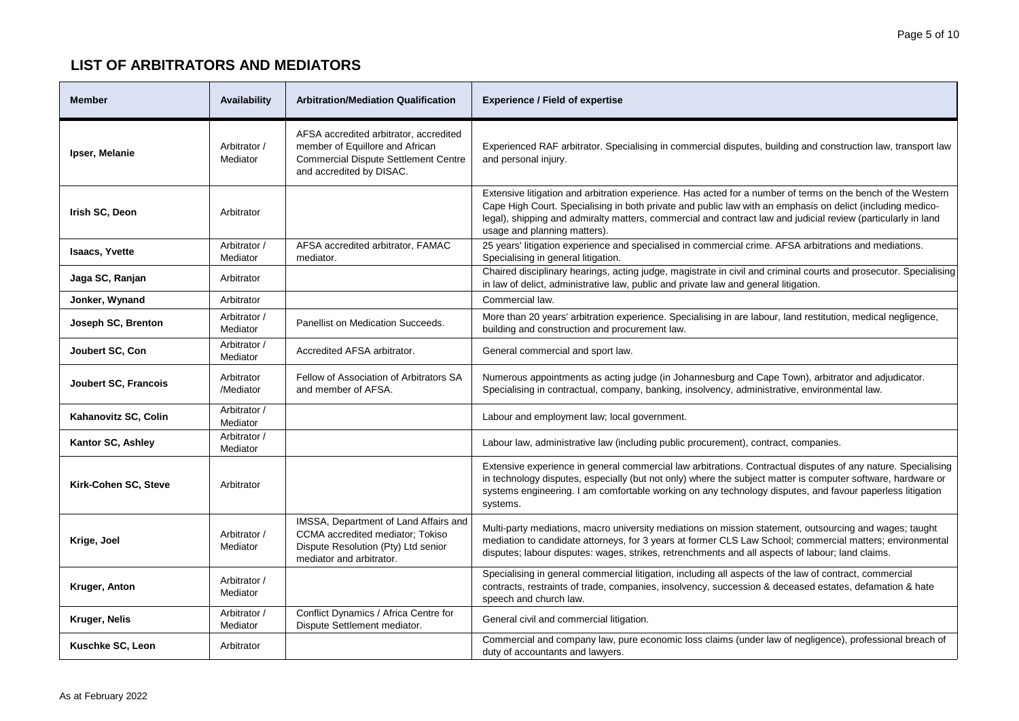| <b>Member</b>         | Availability             | <b>Arbitration/Mediation Qualification</b>                                                                                                           | <b>Experience / Field of expertise</b>                                                                                                                                                                                                                                                                                                                                      |
|-----------------------|--------------------------|------------------------------------------------------------------------------------------------------------------------------------------------------|-----------------------------------------------------------------------------------------------------------------------------------------------------------------------------------------------------------------------------------------------------------------------------------------------------------------------------------------------------------------------------|
| Ipser, Melanie        | Arbitrator /<br>Mediator | AFSA accredited arbitrator, accredited<br>member of Equillore and African<br><b>Commercial Dispute Settlement Centre</b><br>and accredited by DISAC. | Experienced RAF arbitrator. Specialising in commercial disputes, building and construction law, transport law<br>and personal injury.                                                                                                                                                                                                                                       |
| Irish SC, Deon        | Arbitrator               |                                                                                                                                                      | Extensive litigation and arbitration experience. Has acted for a number of terms on the bench of the Western<br>Cape High Court. Specialising in both private and public law with an emphasis on delict (including medico-<br>legal), shipping and admiralty matters, commercial and contract law and judicial review (particularly in land<br>usage and planning matters). |
| <b>Isaacs, Yvette</b> | Arbitrator /<br>Mediator | AFSA accredited arbitrator, FAMAC<br>mediator.                                                                                                       | 25 years' litigation experience and specialised in commercial crime. AFSA arbitrations and mediations.<br>Specialising in general litigation.                                                                                                                                                                                                                               |
| Jaga SC, Ranjan       | Arbitrator               |                                                                                                                                                      | Chaired disciplinary hearings, acting judge, magistrate in civil and criminal courts and prosecutor. Specialising<br>in law of delict, administrative law, public and private law and general litigation.                                                                                                                                                                   |
| Jonker, Wynand        | Arbitrator               |                                                                                                                                                      | Commercial law.                                                                                                                                                                                                                                                                                                                                                             |
| Joseph SC, Brenton    | Arbitrator /<br>Mediator | Panellist on Medication Succeeds.                                                                                                                    | More than 20 years' arbitration experience. Specialising in are labour, land restitution, medical negligence,<br>building and construction and procurement law.                                                                                                                                                                                                             |
| Joubert SC, Con       | Arbitrator /<br>Mediator | Accredited AFSA arbitrator.                                                                                                                          | General commercial and sport law.                                                                                                                                                                                                                                                                                                                                           |
| Joubert SC, Francois  | Arbitrator<br>/Mediator  | Fellow of Association of Arbitrators SA<br>and member of AFSA.                                                                                       | Numerous appointments as acting judge (in Johannesburg and Cape Town), arbitrator and adjudicator.<br>Specialising in contractual, company, banking, insolvency, administrative, environmental law.                                                                                                                                                                         |
| Kahanovitz SC, Colin  | Arbitrator /<br>Mediator |                                                                                                                                                      | Labour and employment law; local government.                                                                                                                                                                                                                                                                                                                                |
| Kantor SC, Ashley     | Arbitrator /<br>Mediator |                                                                                                                                                      | Labour law, administrative law (including public procurement), contract, companies.                                                                                                                                                                                                                                                                                         |
| Kirk-Cohen SC, Steve  | Arbitrator               |                                                                                                                                                      | Extensive experience in general commercial law arbitrations. Contractual disputes of any nature. Specialising<br>in technology disputes, especially (but not only) where the subject matter is computer software, hardware or<br>systems engineering. I am comfortable working on any technology disputes, and favour paperless litigation<br>systems.                      |
| Krige, Joel           | Arbitrator /<br>Mediator | IMSSA, Department of Land Affairs and<br>CCMA accredited mediator; Tokiso<br>Dispute Resolution (Pty) Ltd senior<br>mediator and arbitrator.         | Multi-party mediations, macro university mediations on mission statement, outsourcing and wages; taught<br>mediation to candidate attorneys, for 3 years at former CLS Law School; commercial matters; environmental<br>disputes; labour disputes: wages, strikes, retrenchments and all aspects of labour; land claims.                                                    |
| Kruger, Anton         | Arbitrator /<br>Mediator |                                                                                                                                                      | Specialising in general commercial litigation, including all aspects of the law of contract, commercial<br>contracts, restraints of trade, companies, insolvency, succession & deceased estates, defamation & hate<br>speech and church law.                                                                                                                                |
| Kruger, Nelis         | Arbitrator /<br>Mediator | Conflict Dynamics / Africa Centre for<br>Dispute Settlement mediator.                                                                                | General civil and commercial litigation.                                                                                                                                                                                                                                                                                                                                    |
| Kuschke SC, Leon      | Arbitrator               |                                                                                                                                                      | Commercial and company law, pure economic loss claims (under law of negligence), professional breach of<br>duty of accountants and lawyers.                                                                                                                                                                                                                                 |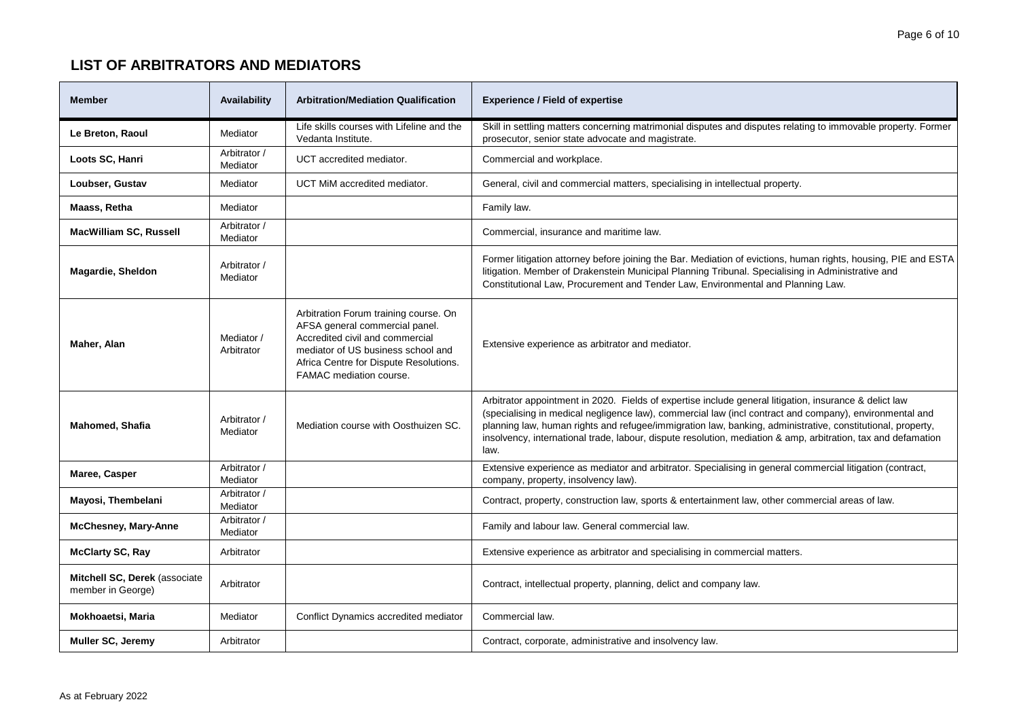| <b>Member</b>                                      | Availability             | <b>Arbitration/Mediation Qualification</b>                                                                                                                                                                            | <b>Experience / Field of expertise</b>                                                                                                                                                                                                                                                                                                                                                                                                                   |
|----------------------------------------------------|--------------------------|-----------------------------------------------------------------------------------------------------------------------------------------------------------------------------------------------------------------------|----------------------------------------------------------------------------------------------------------------------------------------------------------------------------------------------------------------------------------------------------------------------------------------------------------------------------------------------------------------------------------------------------------------------------------------------------------|
| Le Breton, Raoul                                   | Mediator                 | Life skills courses with Lifeline and the<br>Vedanta Institute.                                                                                                                                                       | Skill in settling matters concerning matrimonial disputes and disputes relating to immovable property. Former<br>prosecutor, senior state advocate and magistrate.                                                                                                                                                                                                                                                                                       |
| Loots SC, Hanri                                    | Arbitrator /<br>Mediator | UCT accredited mediator.                                                                                                                                                                                              | Commercial and workplace.                                                                                                                                                                                                                                                                                                                                                                                                                                |
| Loubser, Gustav                                    | Mediator                 | UCT MiM accredited mediator.                                                                                                                                                                                          | General, civil and commercial matters, specialising in intellectual property.                                                                                                                                                                                                                                                                                                                                                                            |
| Maass, Retha                                       | Mediator                 |                                                                                                                                                                                                                       | Family law.                                                                                                                                                                                                                                                                                                                                                                                                                                              |
| <b>MacWilliam SC, Russell</b>                      | Arbitrator /<br>Mediator |                                                                                                                                                                                                                       | Commercial, insurance and maritime law.                                                                                                                                                                                                                                                                                                                                                                                                                  |
| <b>Magardie, Sheldon</b>                           | Arbitrator /<br>Mediator |                                                                                                                                                                                                                       | Former litigation attorney before joining the Bar. Mediation of evictions, human rights, housing, PIE and ESTA<br>litigation. Member of Drakenstein Municipal Planning Tribunal. Specialising in Administrative and<br>Constitutional Law, Procurement and Tender Law, Environmental and Planning Law.                                                                                                                                                   |
| Maher, Alan                                        | Mediator /<br>Arbitrator | Arbitration Forum training course. On<br>AFSA general commercial panel.<br>Accredited civil and commercial<br>mediator of US business school and<br>Africa Centre for Dispute Resolutions.<br>FAMAC mediation course. | Extensive experience as arbitrator and mediator.                                                                                                                                                                                                                                                                                                                                                                                                         |
| <b>Mahomed, Shafia</b>                             | Arbitrator /<br>Mediator | Mediation course with Oosthuizen SC.                                                                                                                                                                                  | Arbitrator appointment in 2020. Fields of expertise include general litigation, insurance & delict law<br>(specialising in medical negligence law), commercial law (incl contract and company), environmental and<br>planning law, human rights and refugee/immigration law, banking, administrative, constitutional, property,<br>insolvency, international trade, labour, dispute resolution, mediation & amp, arbitration, tax and defamation<br>law. |
| Maree, Casper                                      | Arbitrator /<br>Mediator |                                                                                                                                                                                                                       | Extensive experience as mediator and arbitrator. Specialising in general commercial litigation (contract,<br>company, property, insolvency law).                                                                                                                                                                                                                                                                                                         |
| Mayosi, Thembelani                                 | Arbitrator /<br>Mediator |                                                                                                                                                                                                                       | Contract, property, construction law, sports & entertainment law, other commercial areas of law.                                                                                                                                                                                                                                                                                                                                                         |
| <b>McChesney, Mary-Anne</b>                        | Arbitrator /<br>Mediator |                                                                                                                                                                                                                       | Family and labour law. General commercial law.                                                                                                                                                                                                                                                                                                                                                                                                           |
| <b>McClarty SC, Ray</b>                            | Arbitrator               |                                                                                                                                                                                                                       | Extensive experience as arbitrator and specialising in commercial matters.                                                                                                                                                                                                                                                                                                                                                                               |
| Mitchell SC, Derek (associate<br>member in George) | Arbitrator               |                                                                                                                                                                                                                       | Contract, intellectual property, planning, delict and company law.                                                                                                                                                                                                                                                                                                                                                                                       |
| Mokhoaetsi, Maria                                  | Mediator                 | Conflict Dynamics accredited mediator                                                                                                                                                                                 | Commercial law.                                                                                                                                                                                                                                                                                                                                                                                                                                          |
| Muller SC, Jeremy                                  | Arbitrator               |                                                                                                                                                                                                                       | Contract, corporate, administrative and insolvency law.                                                                                                                                                                                                                                                                                                                                                                                                  |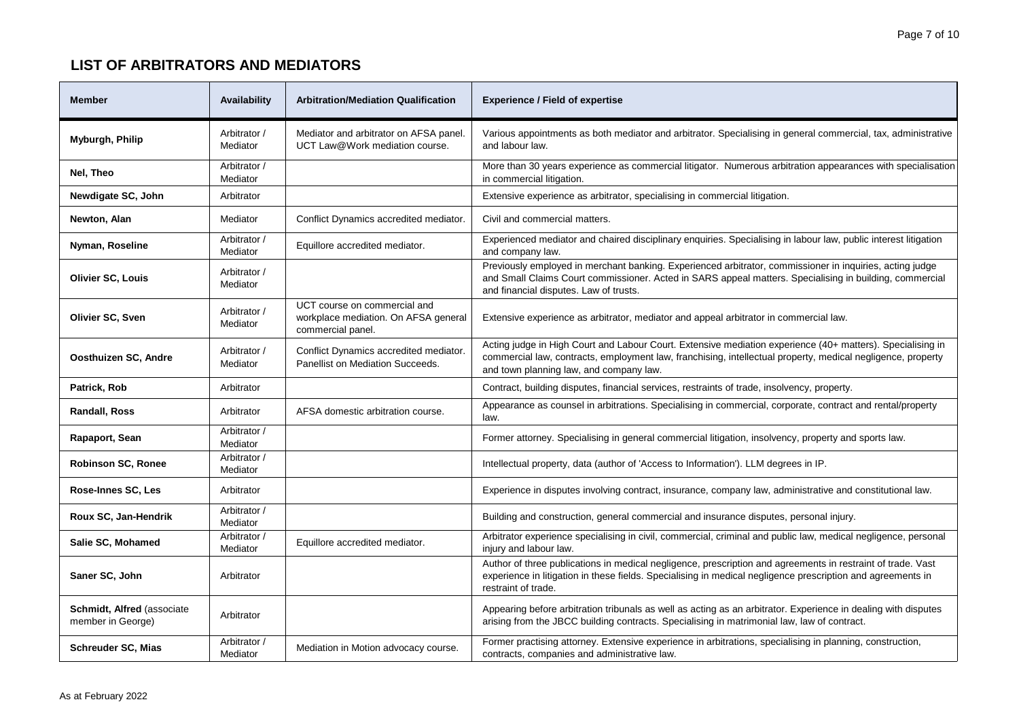| <b>Member</b>                                   | Availability             | <b>Arbitration/Mediation Qualification</b>                                                | <b>Experience / Field of expertise</b>                                                                                                                                                                                                                               |
|-------------------------------------------------|--------------------------|-------------------------------------------------------------------------------------------|----------------------------------------------------------------------------------------------------------------------------------------------------------------------------------------------------------------------------------------------------------------------|
| Myburgh, Philip                                 | Arbitrator /<br>Mediator | Mediator and arbitrator on AFSA panel.<br>UCT Law@Work mediation course.                  | Various appointments as both mediator and arbitrator. Specialising in general commercial, tax, administrative<br>and labour law.                                                                                                                                     |
| Nel, Theo                                       | Arbitrator /<br>Mediator |                                                                                           | More than 30 years experience as commercial litigator. Numerous arbitration appearances with specialisation<br>in commercial litigation.                                                                                                                             |
| Newdigate SC, John                              | Arbitrator               |                                                                                           | Extensive experience as arbitrator, specialising in commercial litigation.                                                                                                                                                                                           |
| Newton, Alan                                    | Mediator                 | Conflict Dynamics accredited mediator.                                                    | Civil and commercial matters.                                                                                                                                                                                                                                        |
| Nyman, Roseline                                 | Arbitrator /<br>Mediator | Equillore accredited mediator.                                                            | Experienced mediator and chaired disciplinary enquiries. Specialising in labour law, public interest litigation<br>and company law.                                                                                                                                  |
| <b>Olivier SC, Louis</b>                        | Arbitrator /<br>Mediator |                                                                                           | Previously employed in merchant banking. Experienced arbitrator, commissioner in inquiries, acting judge<br>and Small Claims Court commissioner. Acted in SARS appeal matters. Specialising in building, commercial<br>and financial disputes. Law of trusts.        |
| Olivier SC, Sven                                | Arbitrator /<br>Mediator | UCT course on commercial and<br>workplace mediation. On AFSA general<br>commercial panel. | Extensive experience as arbitrator, mediator and appeal arbitrator in commercial law.                                                                                                                                                                                |
| Oosthuizen SC, Andre                            | Arbitrator /<br>Mediator | Conflict Dynamics accredited mediator.<br>Panellist on Mediation Succeeds.                | Acting judge in High Court and Labour Court. Extensive mediation experience (40+ matters). Specialising in<br>commercial law, contracts, employment law, franchising, intellectual property, medical negligence, property<br>and town planning law, and company law. |
| Patrick, Rob                                    | Arbitrator               |                                                                                           | Contract, building disputes, financial services, restraints of trade, insolvency, property.                                                                                                                                                                          |
| Randall, Ross                                   | Arbitrator               | AFSA domestic arbitration course.                                                         | Appearance as counsel in arbitrations. Specialising in commercial, corporate, contract and rental/property<br>law.                                                                                                                                                   |
| Rapaport, Sean                                  | Arbitrator /<br>Mediator |                                                                                           | Former attorney. Specialising in general commercial litigation, insolvency, property and sports law.                                                                                                                                                                 |
| <b>Robinson SC, Ronee</b>                       | Arbitrator /<br>Mediator |                                                                                           | Intellectual property, data (author of 'Access to Information'). LLM degrees in IP.                                                                                                                                                                                  |
| Rose-Innes SC, Les                              | Arbitrator               |                                                                                           | Experience in disputes involving contract, insurance, company law, administrative and constitutional law.                                                                                                                                                            |
| Roux SC, Jan-Hendrik                            | Arbitrator /<br>Mediator |                                                                                           | Building and construction, general commercial and insurance disputes, personal injury.                                                                                                                                                                               |
| Salie SC, Mohamed                               | Arbitrator /<br>Mediator | Equillore accredited mediator.                                                            | Arbitrator experience specialising in civil, commercial, criminal and public law, medical negligence, personal<br>injury and labour law.                                                                                                                             |
| Saner SC, John                                  | Arbitrator               |                                                                                           | Author of three publications in medical negligence, prescription and agreements in restraint of trade. Vast<br>experience in litigation in these fields. Specialising in medical negligence prescription and agreements in<br>restraint of trade.                    |
| Schmidt, Alfred (associate<br>member in George) | Arbitrator               |                                                                                           | Appearing before arbitration tribunals as well as acting as an arbitrator. Experience in dealing with disputes<br>arising from the JBCC building contracts. Specialising in matrimonial law, law of contract.                                                        |
| <b>Schreuder SC, Mias</b>                       | Arbitrator /<br>Mediator | Mediation in Motion advocacy course.                                                      | Former practising attorney. Extensive experience in arbitrations, specialising in planning, construction,<br>contracts, companies and administrative law.                                                                                                            |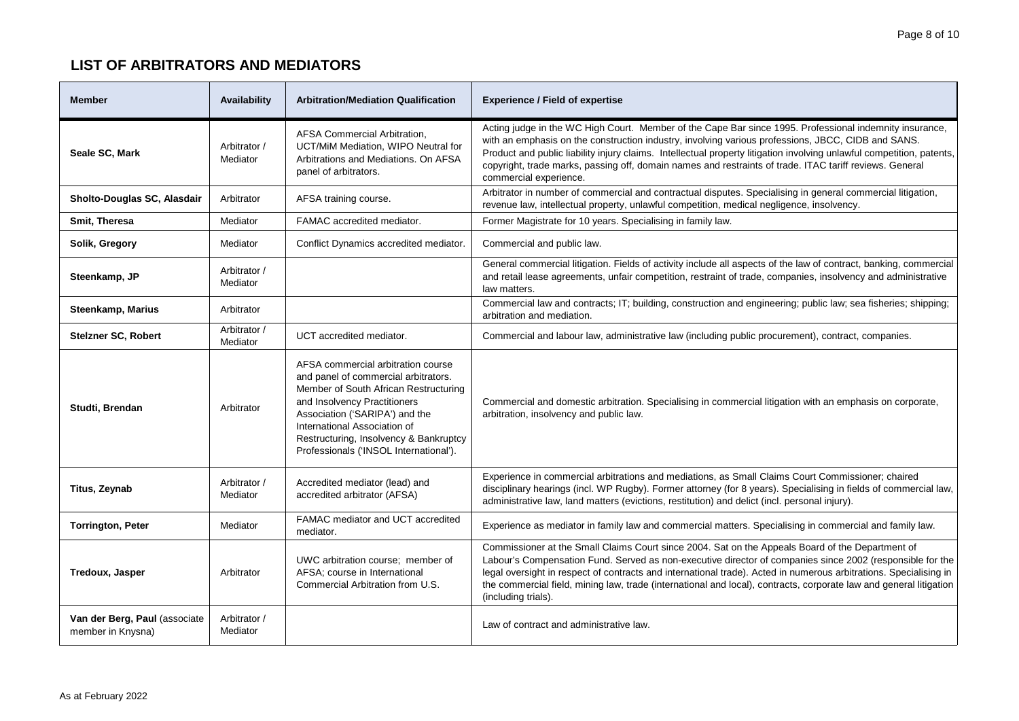| <b>Member</b>                                      | Availability             | <b>Arbitration/Mediation Qualification</b>                                                                                                                                                                                                                                                                | <b>Experience / Field of expertise</b>                                                                                                                                                                                                                                                                                                                                                                                                                                          |
|----------------------------------------------------|--------------------------|-----------------------------------------------------------------------------------------------------------------------------------------------------------------------------------------------------------------------------------------------------------------------------------------------------------|---------------------------------------------------------------------------------------------------------------------------------------------------------------------------------------------------------------------------------------------------------------------------------------------------------------------------------------------------------------------------------------------------------------------------------------------------------------------------------|
| Seale SC, Mark                                     | Arbitrator /<br>Mediator | AFSA Commercial Arbitration,<br>UCT/MiM Mediation, WIPO Neutral for<br>Arbitrations and Mediations. On AFSA<br>panel of arbitrators.                                                                                                                                                                      | Acting judge in the WC High Court. Member of the Cape Bar since 1995. Professional indemnity insurance,<br>with an emphasis on the construction industry, involving various professions, JBCC, CIDB and SANS.<br>Product and public liability injury claims. Intellectual property litigation involving unlawful competition, patents,<br>copyright, trade marks, passing off, domain names and restraints of trade. ITAC tariff reviews. General<br>commercial experience.     |
| Sholto-Douglas SC, Alasdair                        | Arbitrator               | AFSA training course.                                                                                                                                                                                                                                                                                     | Arbitrator in number of commercial and contractual disputes. Specialising in general commercial litigation,<br>revenue law, intellectual property, unlawful competition, medical negligence, insolvency.                                                                                                                                                                                                                                                                        |
| Smit, Theresa                                      | Mediator                 | FAMAC accredited mediator.                                                                                                                                                                                                                                                                                | Former Magistrate for 10 years. Specialising in family law.                                                                                                                                                                                                                                                                                                                                                                                                                     |
| Solik, Gregory                                     | Mediator                 | Conflict Dynamics accredited mediator.                                                                                                                                                                                                                                                                    | Commercial and public law.                                                                                                                                                                                                                                                                                                                                                                                                                                                      |
| Steenkamp, JP                                      | Arbitrator /<br>Mediator |                                                                                                                                                                                                                                                                                                           | General commercial litigation. Fields of activity include all aspects of the law of contract, banking, commercial<br>and retail lease agreements, unfair competition, restraint of trade, companies, insolvency and administrative<br>law matters.                                                                                                                                                                                                                              |
| <b>Steenkamp, Marius</b>                           | Arbitrator               |                                                                                                                                                                                                                                                                                                           | Commercial law and contracts; IT; building, construction and engineering; public law; sea fisheries; shipping;<br>arbitration and mediation.                                                                                                                                                                                                                                                                                                                                    |
| <b>Stelzner SC, Robert</b>                         | Arbitrator /<br>Mediator | UCT accredited mediator.                                                                                                                                                                                                                                                                                  | Commercial and labour law, administrative law (including public procurement), contract, companies.                                                                                                                                                                                                                                                                                                                                                                              |
| Studti, Brendan                                    | Arbitrator               | AFSA commercial arbitration course<br>and panel of commercial arbitrators.<br>Member of South African Restructuring<br>and Insolvency Practitioners<br>Association ('SARIPA') and the<br>International Association of<br>Restructuring, Insolvency & Bankruptcy<br>Professionals ('INSOL International'). | Commercial and domestic arbitration. Specialising in commercial litigation with an emphasis on corporate,<br>arbitration, insolvency and public law.                                                                                                                                                                                                                                                                                                                            |
| Titus, Zeynab                                      | Arbitrator /<br>Mediator | Accredited mediator (lead) and<br>accredited arbitrator (AFSA)                                                                                                                                                                                                                                            | Experience in commercial arbitrations and mediations, as Small Claims Court Commissioner; chaired<br>disciplinary hearings (incl. WP Rugby). Former attorney (for 8 years). Specialising in fields of commercial law,<br>administrative law, land matters (evictions, restitution) and delict (incl. personal injury).                                                                                                                                                          |
| <b>Torrington, Peter</b>                           | Mediator                 | FAMAC mediator and UCT accredited<br>mediator.                                                                                                                                                                                                                                                            | Experience as mediator in family law and commercial matters. Specialising in commercial and family law.                                                                                                                                                                                                                                                                                                                                                                         |
| Tredoux, Jasper                                    | Arbitrator               | UWC arbitration course; member of<br>AFSA; course in International<br>Commercial Arbitration from U.S.                                                                                                                                                                                                    | Commissioner at the Small Claims Court since 2004. Sat on the Appeals Board of the Department of<br>Labour's Compensation Fund. Served as non-executive director of companies since 2002 (responsible for the<br>legal oversight in respect of contracts and international trade). Acted in numerous arbitrations. Specialising in<br>the commercial field, mining law, trade (international and local), contracts, corporate law and general litigation<br>(including trials). |
| Van der Berg, Paul (associate<br>member in Knysna) | Arbitrator /<br>Mediator |                                                                                                                                                                                                                                                                                                           | Law of contract and administrative law.                                                                                                                                                                                                                                                                                                                                                                                                                                         |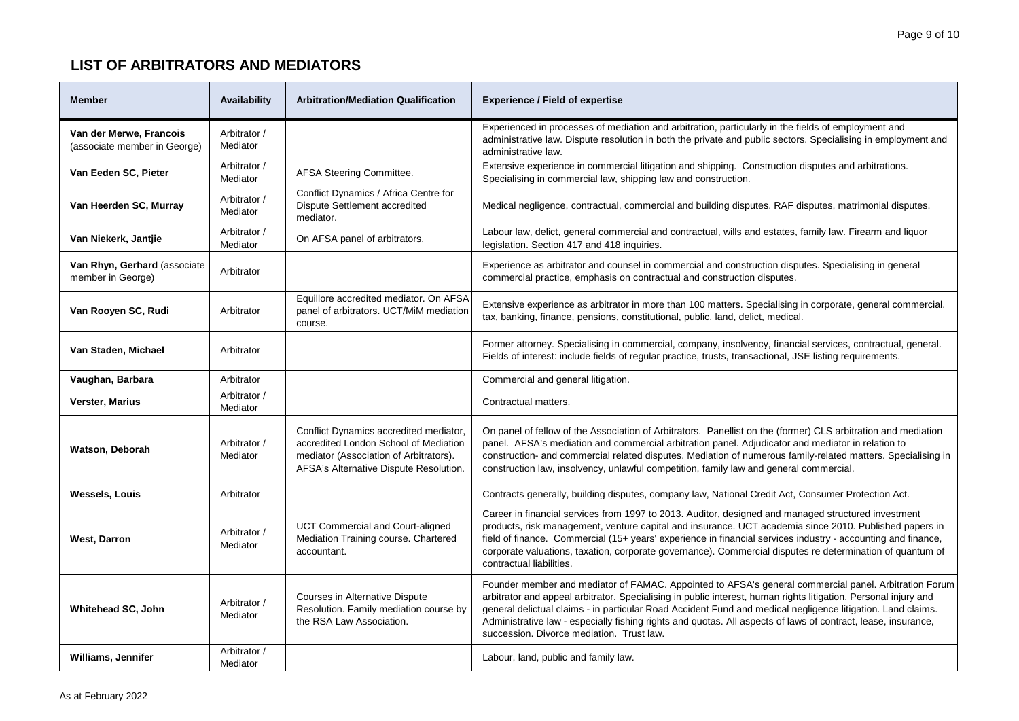| <b>Member</b>                                           | Availability             | <b>Arbitration/Mediation Qualification</b>                                                                                                                          | <b>Experience / Field of expertise</b>                                                                                                                                                                                                                                                                                                                                                                                                                                                                |
|---------------------------------------------------------|--------------------------|---------------------------------------------------------------------------------------------------------------------------------------------------------------------|-------------------------------------------------------------------------------------------------------------------------------------------------------------------------------------------------------------------------------------------------------------------------------------------------------------------------------------------------------------------------------------------------------------------------------------------------------------------------------------------------------|
| Van der Merwe, Francois<br>(associate member in George) | Arbitrator /<br>Mediator |                                                                                                                                                                     | Experienced in processes of mediation and arbitration, particularly in the fields of employment and<br>administrative law. Dispute resolution in both the private and public sectors. Specialising in employment and<br>administrative law.                                                                                                                                                                                                                                                           |
| Van Eeden SC, Pieter                                    | Arbitrator /<br>Mediator | AFSA Steering Committee.                                                                                                                                            | Extensive experience in commercial litigation and shipping. Construction disputes and arbitrations.<br>Specialising in commercial law, shipping law and construction.                                                                                                                                                                                                                                                                                                                                 |
| Van Heerden SC, Murray                                  | Arbitrator /<br>Mediator | Conflict Dynamics / Africa Centre for<br>Dispute Settlement accredited<br>mediator.                                                                                 | Medical negligence, contractual, commercial and building disputes. RAF disputes, matrimonial disputes.                                                                                                                                                                                                                                                                                                                                                                                                |
| Van Niekerk, Jantjie                                    | Arbitrator /<br>Mediator | On AFSA panel of arbitrators.                                                                                                                                       | Labour law, delict, general commercial and contractual, wills and estates, family law. Firearm and liquor<br>legislation. Section 417 and 418 inquiries.                                                                                                                                                                                                                                                                                                                                              |
| Van Rhyn, Gerhard (associate<br>member in George)       | Arbitrator               |                                                                                                                                                                     | Experience as arbitrator and counsel in commercial and construction disputes. Specialising in general<br>commercial practice, emphasis on contractual and construction disputes.                                                                                                                                                                                                                                                                                                                      |
| Van Rooyen SC, Rudi                                     | Arbitrator               | Equillore accredited mediator. On AFSA<br>panel of arbitrators. UCT/MiM mediation<br>course.                                                                        | Extensive experience as arbitrator in more than 100 matters. Specialising in corporate, general commercial,<br>tax, banking, finance, pensions, constitutional, public, land, delict, medical.                                                                                                                                                                                                                                                                                                        |
| Van Staden, Michael                                     | Arbitrator               |                                                                                                                                                                     | Former attorney. Specialising in commercial, company, insolvency, financial services, contractual, general.<br>Fields of interest: include fields of regular practice, trusts, transactional, JSE listing requirements.                                                                                                                                                                                                                                                                               |
| Vaughan, Barbara                                        | Arbitrator               |                                                                                                                                                                     | Commercial and general litigation.                                                                                                                                                                                                                                                                                                                                                                                                                                                                    |
| <b>Verster, Marius</b>                                  | Arbitrator /<br>Mediator |                                                                                                                                                                     | Contractual matters.                                                                                                                                                                                                                                                                                                                                                                                                                                                                                  |
| Watson, Deborah                                         | Arbitrator /<br>Mediator | Conflict Dynamics accredited mediator,<br>accredited London School of Mediation<br>mediator (Association of Arbitrators).<br>AFSA's Alternative Dispute Resolution. | On panel of fellow of the Association of Arbitrators. Panellist on the (former) CLS arbitration and mediation<br>panel. AFSA's mediation and commercial arbitration panel. Adjudicator and mediator in relation to<br>construction- and commercial related disputes. Mediation of numerous family-related matters. Specialising in<br>construction law, insolvency, unlawful competition, family law and general commercial.                                                                          |
| <b>Wessels, Louis</b>                                   | Arbitrator               |                                                                                                                                                                     | Contracts generally, building disputes, company law, National Credit Act, Consumer Protection Act.                                                                                                                                                                                                                                                                                                                                                                                                    |
| West, Darron                                            | Arbitrator /<br>Mediator | UCT Commercial and Court-aligned<br>Mediation Training course. Chartered<br>accountant.                                                                             | Career in financial services from 1997 to 2013. Auditor, designed and managed structured investment<br>products, risk management, venture capital and insurance. UCT academia since 2010. Published papers in<br>field of finance. Commercial (15+ years' experience in financial services industry - accounting and finance,<br>corporate valuations, taxation, corporate governance). Commercial disputes re determination of quantum of<br>contractual liabilities.                                |
| Whitehead SC, John                                      | Arbitrator /<br>Mediator | Courses in Alternative Dispute<br>Resolution. Family mediation course by<br>the RSA Law Association.                                                                | Founder member and mediator of FAMAC. Appointed to AFSA's general commercial panel. Arbitration Forum<br>arbitrator and appeal arbitrator. Specialising in public interest, human rights litigation. Personal injury and<br>general delictual claims - in particular Road Accident Fund and medical negligence litigation. Land claims.<br>Administrative law - especially fishing rights and quotas. All aspects of laws of contract, lease, insurance,<br>succession. Divorce mediation. Trust law. |
| Williams, Jennifer                                      | Arbitrator /<br>Mediator |                                                                                                                                                                     | Labour, land, public and family law.                                                                                                                                                                                                                                                                                                                                                                                                                                                                  |